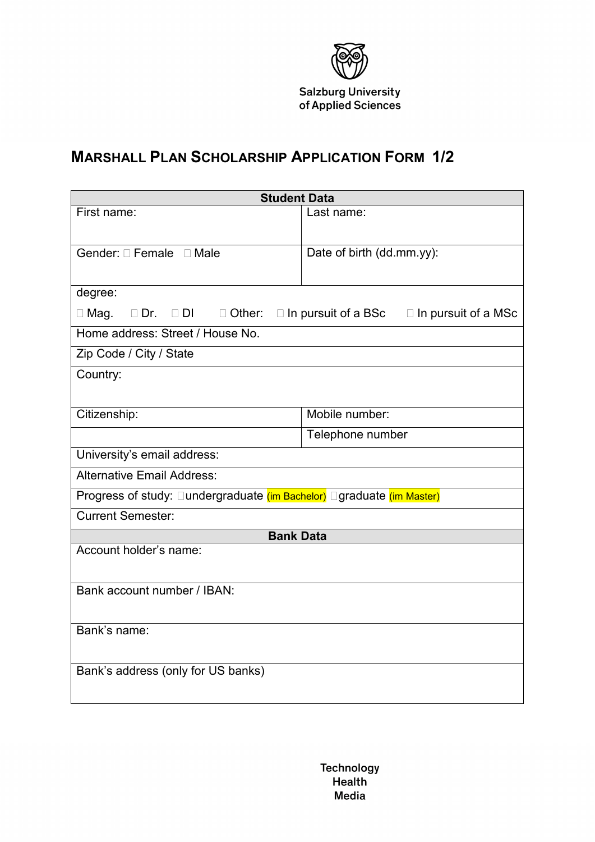

## **MARSHALL PLAN SCHOLARSHIP APPLICATION FORM 1/2**

| <b>Student Data</b>                                                                                                    |                           |
|------------------------------------------------------------------------------------------------------------------------|---------------------------|
| First name:                                                                                                            | Last name:                |
|                                                                                                                        |                           |
| Gender: □ Female □ Male                                                                                                | Date of birth (dd.mm.yy): |
|                                                                                                                        |                           |
| degree:                                                                                                                |                           |
| $\Box$ Mag.<br>$\square$ Dr. $\square$ DI<br>$\square$ Other:<br>$\Box$ In pursuit of a BSc $\Box$ In pursuit of a MSc |                           |
| Home address: Street / House No.                                                                                       |                           |
| Zip Code / City / State                                                                                                |                           |
| Country:                                                                                                               |                           |
|                                                                                                                        |                           |
| Citizenship:                                                                                                           | Mobile number:            |
|                                                                                                                        | Telephone number          |
| University's email address:                                                                                            |                           |
| <b>Alternative Email Address:</b>                                                                                      |                           |
| Progress of study: □undergraduate (im Bachelor) □graduate (im Master)                                                  |                           |
| <b>Current Semester:</b>                                                                                               |                           |
| <b>Bank Data</b>                                                                                                       |                           |
| Account holder's name:                                                                                                 |                           |
|                                                                                                                        |                           |
| Bank account number / IBAN:                                                                                            |                           |
|                                                                                                                        |                           |
| Bank's name:                                                                                                           |                           |
|                                                                                                                        |                           |
| Bank's address (only for US banks)                                                                                     |                           |
|                                                                                                                        |                           |

**Technology Health** Media